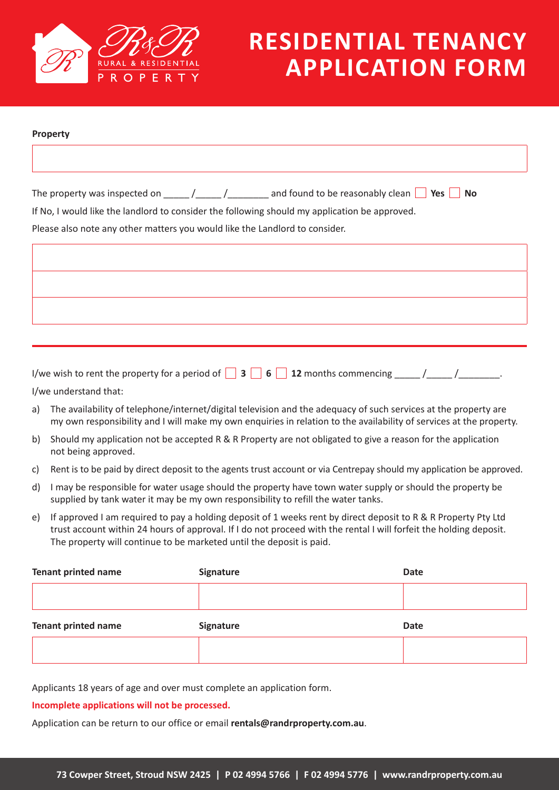

| Property |                                                                             |  |                                                                                                                                                                                                                                                                                                                                                                                                        |    |
|----------|-----------------------------------------------------------------------------|--|--------------------------------------------------------------------------------------------------------------------------------------------------------------------------------------------------------------------------------------------------------------------------------------------------------------------------------------------------------------------------------------------------------|----|
|          |                                                                             |  |                                                                                                                                                                                                                                                                                                                                                                                                        |    |
|          |                                                                             |  |                                                                                                                                                                                                                                                                                                                                                                                                        |    |
|          |                                                                             |  | The property was inspected on $\frac{1}{\sqrt{1-\frac{1}{\sqrt{1-\frac{1}{\sqrt{1-\frac{1}{\sqrt{1-\frac{1}{\sqrt{1-\frac{1}{\sqrt{1-\frac{1}{\sqrt{1-\frac{1}{\sqrt{1-\frac{1}{\sqrt{1-\frac{1}{\sqrt{1-\frac{1}{\sqrt{1-\frac{1}{\sqrt{1-\frac{1}{\sqrt{1-\frac{1}{\sqrt{1-\frac{1}{\sqrt{1-\frac{1}{\sqrt{1-\frac{1}{\sqrt{1-\frac{1}{\sqrt{1-\frac{1}{\sqrt{1-\frac{1}{\sqrt{1-\frac{1}{\sqrt{1-\$ | No |
|          |                                                                             |  | If No, I would like the landlord to consider the following should my application be approved.                                                                                                                                                                                                                                                                                                          |    |
|          | Please also note any other matters you would like the Landlord to consider. |  |                                                                                                                                                                                                                                                                                                                                                                                                        |    |
|          |                                                                             |  |                                                                                                                                                                                                                                                                                                                                                                                                        |    |
|          |                                                                             |  |                                                                                                                                                                                                                                                                                                                                                                                                        |    |
|          |                                                                             |  |                                                                                                                                                                                                                                                                                                                                                                                                        |    |
|          |                                                                             |  |                                                                                                                                                                                                                                                                                                                                                                                                        |    |
|          |                                                                             |  |                                                                                                                                                                                                                                                                                                                                                                                                        |    |
|          |                                                                             |  |                                                                                                                                                                                                                                                                                                                                                                                                        |    |
|          |                                                                             |  |                                                                                                                                                                                                                                                                                                                                                                                                        |    |
|          |                                                                             |  |                                                                                                                                                                                                                                                                                                                                                                                                        |    |

I/we wish to rent the property for a period of  $\begin{array}{|c|c|c|c|c|c|} \hline \textbf{3} & \textbf{6} & \textbf{12} \text{ months} \text{ commencing} & & / \\\hline \end{array}$ I/we understand that:

- a) The availability of telephone/internet/digital television and the adequacy of such services at the property are my own responsibility and I will make my own enquiries in relation to the availability of services at the property.
- b) Should my application not be accepted R & R Property are not obligated to give a reason for the application not being approved.
- c) Rent is to be paid by direct deposit to the agents trust account or via Centrepay should my application be approved.
- d) I may be responsible for water usage should the property have town water supply or should the property be supplied by tank water it may be my own responsibility to refill the water tanks.
- e) If approved I am required to pay a holding deposit of 1 weeks rent by direct deposit to R & R Property Pty Ltd trust account within 24 hours of approval. If I do not proceed with the rental I will forfeit the holding deposit. The property will continue to be marketed until the deposit is paid.

| <b>Tenant printed name</b> | Signature | <b>Date</b> |
|----------------------------|-----------|-------------|
|                            |           |             |
| <b>Tenant printed name</b> | Signature | <b>Date</b> |
|                            |           |             |

Applicants 18 years of age and over must complete an application form.

#### **Incomplete applications will not be processed.**

Application can be return to our office or email **rentals@randrproperty.com.au**.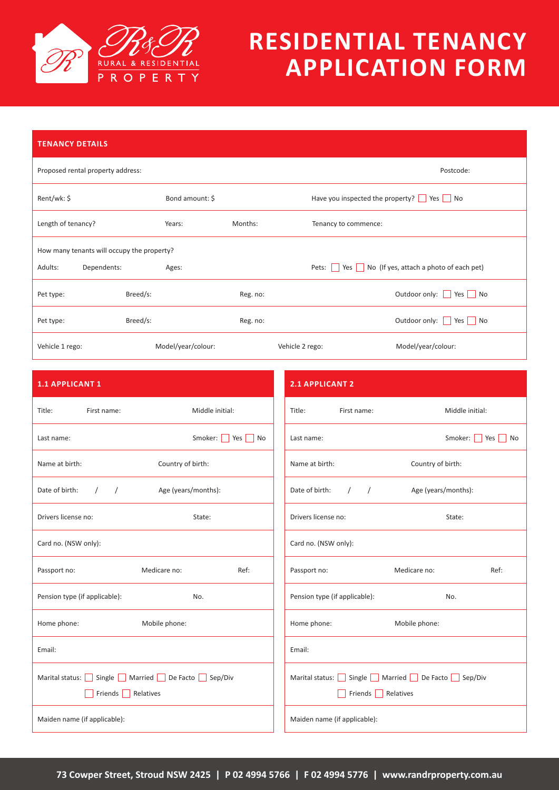

| <b>TENANCY DETAILS</b>                     |             |                    |          |                                                                    |  |  |
|--------------------------------------------|-------------|--------------------|----------|--------------------------------------------------------------------|--|--|
| Proposed rental property address:          |             |                    |          | Postcode:                                                          |  |  |
| Rent/wk: \$                                |             | Bond amount: \$    |          | Have you inspected the property? $\Box$ Yes $\Box$ No              |  |  |
| Length of tenancy?                         |             | Years:             | Months:  | Tenancy to commence:                                               |  |  |
| How many tenants will occupy the property? |             |                    |          |                                                                    |  |  |
| Adults:                                    | Dependents: | Ages:              |          | Yes No (If yes, attach a photo of each pet)<br>Pets: $\vert \vert$ |  |  |
| Pet type:                                  | Breed/s:    |                    | Reg. no: | Outdoor only: Yes No                                               |  |  |
| Pet type:                                  | Breed/s:    |                    | Reg. no: | Outdoor only: Yes   No                                             |  |  |
| Vehicle 1 rego:                            |             | Model/year/colour: |          | Model/year/colour:<br>Vehicle 2 rego:                              |  |  |

| <b>1.1 APPLICANT 1</b>                          | <b>2.1 APPLICANT 2</b>                          |  |  |
|-------------------------------------------------|-------------------------------------------------|--|--|
| Middle initial:                                 | Middle initial:                                 |  |  |
| Title:                                          | Title:                                          |  |  |
| First name:                                     | First name:                                     |  |  |
| Smoker: Yes No                                  | Smoker:     Yes     No                          |  |  |
| Last name:                                      | Last name:                                      |  |  |
| Country of birth:                               | Country of birth:                               |  |  |
| Name at birth:                                  | Name at birth:                                  |  |  |
| $\frac{1}{2}$                                   | Date of birth:                                  |  |  |
| Date of birth:                                  | $\left  \begin{array}{cc} \end{array} \right $  |  |  |
| Age (years/months):                             | Age (years/months):                             |  |  |
| Drivers license no:                             | Drivers license no:                             |  |  |
| State:                                          | State:                                          |  |  |
| Card no. (NSW only):                            | Card no. (NSW only):                            |  |  |
| Medicare no:                                    | Medicare no:                                    |  |  |
| Ref:                                            | Ref:                                            |  |  |
| Passport no:                                    | Passport no:                                    |  |  |
| Pension type (if applicable):                   | Pension type (if applicable):                   |  |  |
| No.                                             | No.                                             |  |  |
| Home phone:                                     | Home phone:                                     |  |  |
| Mobile phone:                                   | Mobile phone:                                   |  |  |
| Email:                                          | Email:                                          |  |  |
| Marital status: Single Married De Facto Sep/Div | Marital status: Single Married De Facto Sep/Div |  |  |
| Friends Relatives                               | Friends <b>Relatives</b>                        |  |  |
| Maiden name (if applicable):                    | Maiden name (if applicable):                    |  |  |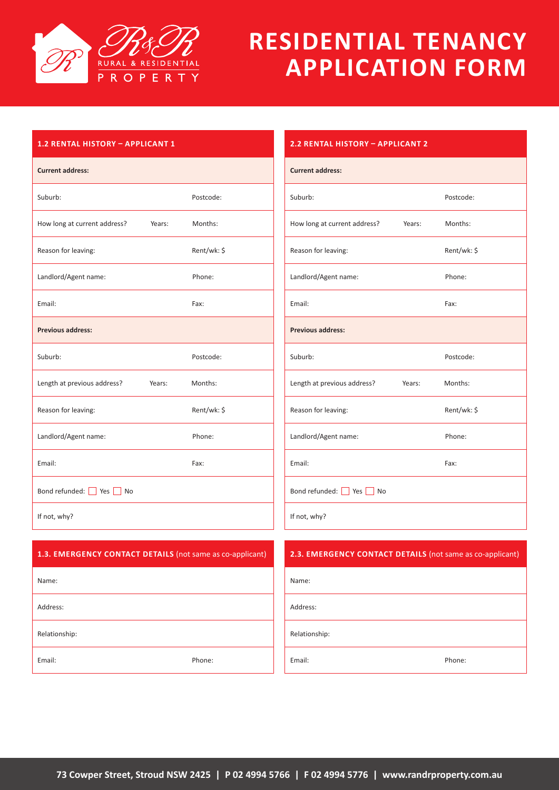

#### **1.2 RENTAL HISTORY – APPLICANT 1**

| <b>Current address:</b>      |        |             |
|------------------------------|--------|-------------|
| Suburb:                      |        | Postcode:   |
| How long at current address? | Years: | Months:     |
| Reason for leaving:          |        | Rent/wk: \$ |
| Landlord/Agent name:         |        | Phone:      |
| Email:                       |        | Fax:        |
| <b>Previous address:</b>     |        |             |
| Suburb:                      |        | Postcode:   |
| Length at previous address?  | Years: | Months:     |
|                              |        |             |
| Reason for leaving:          |        | Rent/wk: \$ |
| Landlord/Agent name:         |        | Phone:      |
| Email:                       |        | Fax:        |
| Bond refunded: Yes No        |        |             |

| <i><b>E.E. INCITENT INSTRUST AFFEIGAINT 4</b></i> |        |             |  |  |  |
|---------------------------------------------------|--------|-------------|--|--|--|
| <b>Current address:</b>                           |        |             |  |  |  |
| Suburb:                                           |        | Postcode:   |  |  |  |
| How long at current address?                      | Years: | Months:     |  |  |  |
| Reason for leaving:                               |        | Rent/wk: \$ |  |  |  |
| Landlord/Agent name:                              |        | Phone:      |  |  |  |
| Email:                                            |        | Fax:        |  |  |  |
| <b>Previous address:</b>                          |        |             |  |  |  |
| Suburb:                                           |        | Postcode:   |  |  |  |
| Length at previous address?                       | Years: | Months:     |  |  |  |
| Reason for leaving:                               |        | Rent/wk: \$ |  |  |  |
| Landlord/Agent name:                              |        | Phone:      |  |  |  |
| Email:                                            |        | Fax:        |  |  |  |
| Bond refunded: Yes No                             |        |             |  |  |  |
| If not, why?                                      |        |             |  |  |  |

| 1.3. EMERGENCY CONTACT DETAILS (not same as co-applicant) | 2.3. EMERGENCY CONTACT DETAILS (not same as co-applicant) |
|-----------------------------------------------------------|-----------------------------------------------------------|
| Name:                                                     | Name:                                                     |
| Address:                                                  | Address:                                                  |
| Relationship:                                             | Relationship:                                             |
| Email:<br>Phone:                                          | Phone:<br>Email:                                          |

#### **2.2 RENTAL HISTORY – APPLICANT 2**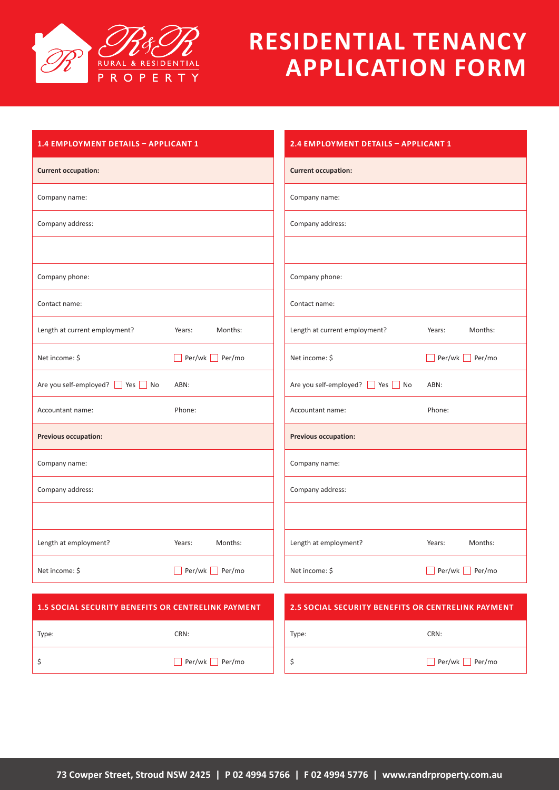

| 1.4 EMPLOYMENT DETAILS - APPLICANT 1                      |                                                           | 2.4 EMPLOYMENT DETAILS - APPLICANT 1 |  |  |
|-----------------------------------------------------------|-----------------------------------------------------------|--------------------------------------|--|--|
|                                                           | <b>Current occupation:</b>                                |                                      |  |  |
|                                                           | Company name:                                             |                                      |  |  |
|                                                           | Company address:                                          |                                      |  |  |
|                                                           |                                                           |                                      |  |  |
|                                                           | Company phone:                                            |                                      |  |  |
|                                                           | Contact name:                                             |                                      |  |  |
| Months:<br>Years:                                         | Length at current employment?                             | Months:<br>Years:                    |  |  |
| Per/wk Per/mo                                             | Net income: \$                                            | $\Box$ Per/wk $\Box$ Per/mo          |  |  |
| ABN:                                                      | Are you self-employed? Ves No                             | ABN:                                 |  |  |
| Phone:                                                    | Accountant name:                                          | Phone:                               |  |  |
|                                                           | Previous occupation:                                      |                                      |  |  |
|                                                           | Company name:                                             |                                      |  |  |
|                                                           | Company address:                                          |                                      |  |  |
|                                                           |                                                           |                                      |  |  |
| Months:<br>Years:                                         | Length at employment?                                     | Months:<br>Years:                    |  |  |
| Per/wk Per/mo                                             | Net income: \$                                            | $Per/wk$ Per/mo                      |  |  |
| <b>1.5 SOCIAL SECURITY BENEFITS OR CENTRELINK PAYMENT</b> | <b>2.5 SOCIAL SECURITY BENEFITS OR CENTRELINK PAYMENT</b> |                                      |  |  |
| CRN:                                                      | Type:                                                     | CRN:                                 |  |  |
| Per/wk Per/mo                                             | \$                                                        | $Per/wk$ Per/mo                      |  |  |
|                                                           |                                                           |                                      |  |  |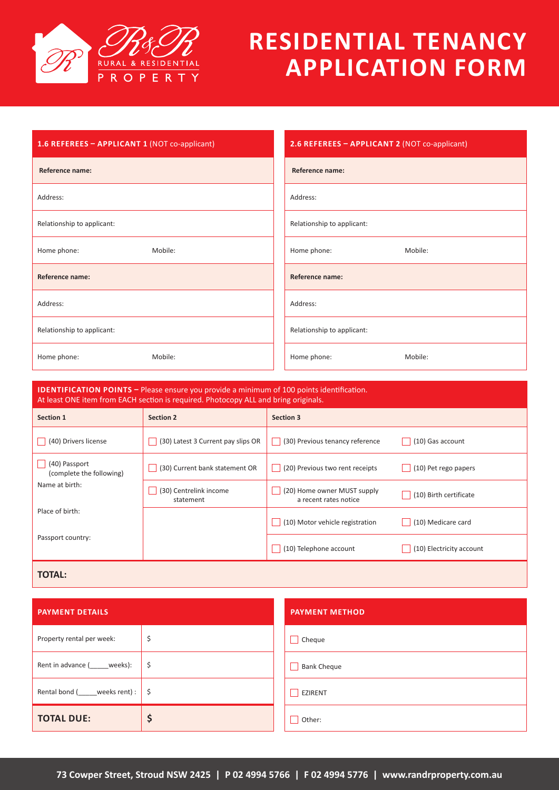

| 1.6 REFEREES - APPLICANT 1 (NOT co-applicant) | 2.6 REFEREES - APPLICANT 2 (NOT co-applicant) |  |  |
|-----------------------------------------------|-----------------------------------------------|--|--|
| Reference name:                               | Reference name:                               |  |  |
| Address:                                      | Address:                                      |  |  |
| Relationship to applicant:                    | Relationship to applicant:                    |  |  |
| Mobile:<br>Home phone:                        | Mobile:<br>Home phone:                        |  |  |
| Reference name:                               | Reference name:                               |  |  |
| Address:                                      | Address:                                      |  |  |
| Relationship to applicant:                    | Relationship to applicant:                    |  |  |
| Mobile:<br>Home phone:                        | Mobile:<br>Home phone:                        |  |  |

| <b>IDENTIFICATION POINTS</b> – Please ensure you provide a minimum of 100 points identification.<br>At least ONE item from EACH section is required. Photocopy ALL and bring originals. |                                     |                                                      |                          |  |
|-----------------------------------------------------------------------------------------------------------------------------------------------------------------------------------------|-------------------------------------|------------------------------------------------------|--------------------------|--|
| Section 1                                                                                                                                                                               | <b>Section 2</b>                    | <b>Section 3</b>                                     |                          |  |
| (40) Drivers license                                                                                                                                                                    | (30) Latest 3 Current pay slips OR  | (30) Previous tenancy reference                      | (10) Gas account         |  |
| (40) Passport<br>(complete the following)                                                                                                                                               | (30) Current bank statement OR      | (20) Previous two rent receipts                      | (10) Pet rego papers     |  |
| Name at birth:                                                                                                                                                                          | (30) Centrelink income<br>statement | (20) Home owner MUST supply<br>a recent rates notice | (10) Birth certificate   |  |
| Place of birth:                                                                                                                                                                         |                                     | (10) Motor vehicle registration                      | (10) Medicare card       |  |
| Passport country:                                                                                                                                                                       |                                     | (10) Telephone account                               | (10) Electricity account |  |
| <b>TOTAL:</b>                                                                                                                                                                           |                                     |                                                      |                          |  |

| <b>PAYMENT DETAILS</b>          |     | <b>PAYMENT METHOD</b>   |
|---------------------------------|-----|-------------------------|
| Property rental per week:       | \$  | Cheque                  |
| Rent in advance ( weeks):       | \$  | <b>Bank Cheque</b>      |
| Rental bond (_____weeks rent) : | -\$ | EZIRENT<br>$\mathbf{I}$ |
| <b>TOTAL DUE:</b>               | Ş   | Other:                  |